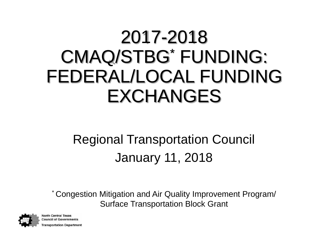## 2017-2018 CMAQ/STBG\* FUNDING: FEDERAL/LOCAL FUNDING EXCHANGES

#### Regional Transportation Council January 11, 2018

\* Congestion Mitigation and Air Quality Improvement Program/ Surface Transportation Block Grant



**North Central Texas Council of Governments** ransportation Department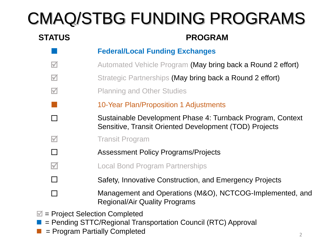## CMAQ/STBG FUNDING PROGRAMS

#### **STATUS PROGRAM**

- **Federal/Local Funding Exchanges**
- **M** Automated Vehicle Program (May bring back a Round 2 effort)
- $\blacksquare$  Strategic Partnerships (May bring back a Round 2 effort)
- $\nu$  Planning and Other Studies
	- 10-Year Plan/Proposition 1 Adjustments
- □ Sustainable Development Phase 4: Turnback Program, Context Sensitive, Transit Oriented Development (TOD) Projects
- **M** Transit Program
- □ Assessment Policy Programs/Projects
- **M Local Bond Program Partnerships**
- □ Safety, Innovative Construction, and Emergency Projects
- □ Management and Operations (M&O), NCTCOG-Implemented, and Regional/Air Quality Programs
- $\mathbb{Z}$  = Project Selection Completed
- = Pending STTC/Regional Transportation Council (RTC) Approval
- = Program Partially Completed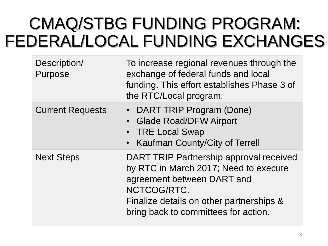### CMAQ/STBG FUNDING PROGRAM: FEDERAL/LOCAL FUNDING EXCHANGES

| Description/<br>Purpose | To increase regional revenues through the<br>exchange of federal funds and local<br>funding. This effort establishes Phase 3 of<br>the RTC/Local program.                                                         |
|-------------------------|-------------------------------------------------------------------------------------------------------------------------------------------------------------------------------------------------------------------|
| <b>Current Requests</b> | <b>DART TRIP Program (Done)</b><br><b>Glade Road/DFW Airport</b><br>$\bullet$<br><b>TRE Local Swap</b><br>Kaufman County/City of Terrell                                                                          |
| <b>Next Steps</b>       | DART TRIP Partnership approval received<br>by RTC in March 2017; Need to execute<br>agreement between DART and<br>NCTCOG/RTC.<br>Finalize details on other partnerships &<br>bring back to committees for action. |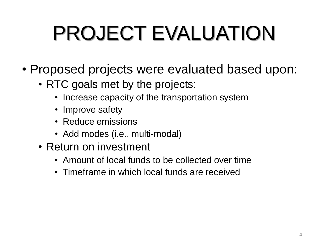# PROJECT EVALUATION

- Proposed projects were evaluated based upon:
	- RTC goals met by the projects:
		- Increase capacity of the transportation system
		- Improve safety
		- Reduce emissions
		- Add modes (i.e., multi-modal)
	- Return on investment
		- Amount of local funds to be collected over time
		- Timeframe in which local funds are received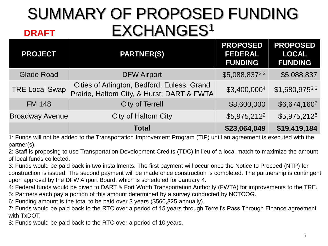#### SUMMARY OF PROPOSED FUNDING EXCHANGES<sup>1</sup> **DRAFT**

| <b>PROJECT</b>         | <b>PARTNER(S)</b>                                                                         | <b>PROPOSED</b><br><b>FEDERAL</b><br><b>FUNDING</b> | <b>PROPOSED</b><br><b>LOCAL</b><br><b>FUNDING</b> |
|------------------------|-------------------------------------------------------------------------------------------|-----------------------------------------------------|---------------------------------------------------|
| <b>Glade Road</b>      | <b>DFW Airport</b>                                                                        | \$5,088,8372,3                                      | \$5,088,837                                       |
| <b>TRE Local Swap</b>  | Cities of Arlington, Bedford, Euless, Grand<br>Prairie, Haltom City, & Hurst; DART & FWTA | \$3,400,0004                                        | \$1,680,9755,6                                    |
| <b>FM 148</b>          | <b>City of Terrell</b>                                                                    | \$8,600,000                                         | \$6,674,1607                                      |
| <b>Broadway Avenue</b> | <b>City of Haltom City</b>                                                                | \$5,975,212 <sup>2</sup>                            | \$5,975,2128                                      |
|                        | <b>Total</b>                                                                              | \$23,064,049                                        | \$19,419,184                                      |

1: Funds will not be added to the Transportation Improvement Program (TIP) until an agreement is executed with the partner(s).

2: Staff is proposing to use Transportation Development Credits (TDC) in lieu of a local match to maximize the amount of local funds collected.

3: Funds would be paid back in two installments. The first payment will occur once the Notice to Proceed (NTP) for construction is issued. The second payment will be made once construction is completed. The partnership is contingent upon approval by the DFW Airport Board, which is scheduled for January 4.

4: Federal funds would be given to DART & Fort Worth Transportation Authority (FWTA) for improvements to the TRE.

5: Partners each pay a portion of this amount determined by a survey conducted by NCTCOG.

6: Funding amount is the total to be paid over 3 years (\$560,325 annually).

7: Funds would be paid back to the RTC over a period of 15 years through Terrell's Pass Through Finance agreement with TxDOT.

8: Funds would be paid back to the RTC over a period of 10 years.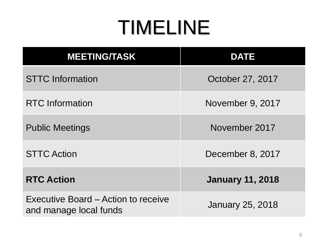# TIMELINE

| <b>MEETING/TASK</b>                                           | <b>DATE</b>             |
|---------------------------------------------------------------|-------------------------|
| <b>STTC Information</b>                                       | October 27, 2017        |
| <b>RTC</b> Information                                        | November 9, 2017        |
| <b>Public Meetings</b>                                        | November 2017           |
| <b>STTC Action</b>                                            | December 8, 2017        |
| <b>RTC Action</b>                                             | <b>January 11, 2018</b> |
| Executive Board – Action to receive<br>and manage local funds | <b>January 25, 2018</b> |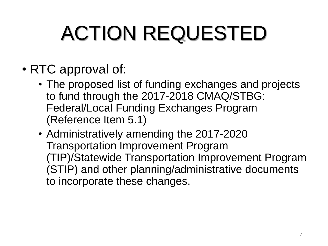# ACTION REQUESTED

- RTC approval of:
	- The proposed list of funding exchanges and projects to fund through the 2017-2018 CMAQ/STBG: Federal/Local Funding Exchanges Program (Reference Item 5.1)
	- Administratively amending the 2017-2020 Transportation Improvement Program (TIP)/Statewide Transportation Improvement Program (STIP) and other planning/administrative documents to incorporate these changes.